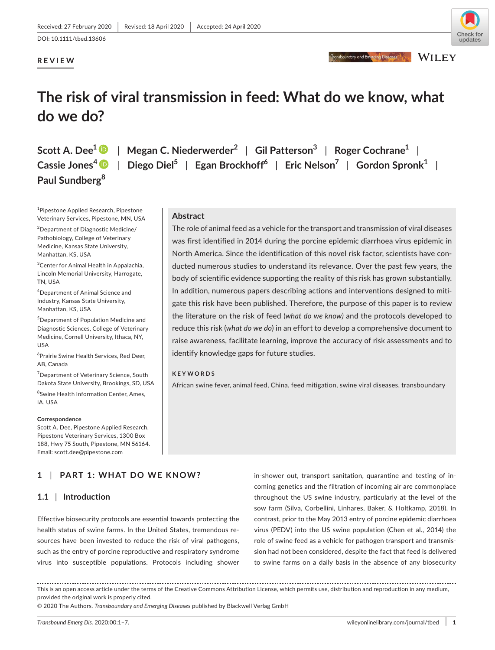**Abstract**

**KEYWORDS**

# **REVIEW**



Transboundary and Emercing Diseases **The Second LEY** 

# **The risk of viral transmission in feed: What do we know, what do we do?**

identify knowledge gaps for future studies.

**Paul Sundberg<sup>8</sup>**

**Scott A. Dee1** | **Megan C. Niederwerder<sup>2</sup>** | **Gil Patterson<sup>3</sup>** | **Roger Cochrane1** | **Cassie Jones[4](https://orcid.org/0000-0002-0671-8879)** | **Diego Diel<sup>5</sup>** | **Egan Brockhoff<sup>6</sup>** | **Eric Nelson<sup>7</sup>** | **Gordon Spronk1** |

> The role of animal feed as a vehicle for the transport and transmission of viral diseases was first identified in 2014 during the porcine epidemic diarrhoea virus epidemic in North America. Since the identification of this novel risk factor, scientists have conducted numerous studies to understand its relevance. Over the past few years, the body of scientific evidence supporting the reality of this risk has grown substantially. In addition, numerous papers describing actions and interventions designed to mitigate this risk have been published. Therefore, the purpose of this paper is to review the literature on the risk of feed (*what do we know)* and the protocols developed to reduce this risk (*what do we do*) in an effort to develop a comprehensive document to raise awareness, facilitate learning, improve the accuracy of risk assessments and to

African swine fever, animal feed, China, feed mitigation, swine viral diseases, transboundary

1 Pipestone Applied Research, Pipestone Veterinary Services, Pipestone, MN, USA

2 Department of Diagnostic Medicine/ Pathobiology, College of Veterinary Medicine, Kansas State University, Manhattan, KS, USA

3 Center for Animal Health in Appalachia, Lincoln Memorial University, Harrogate, TN, USA

4 Department of Animal Science and Industry, Kansas State University, Manhattan, KS, USA

5 Department of Population Medicine and Diagnostic Sciences, College of Veterinary Medicine, Cornell University, Ithaca, NY, USA

6 Prairie Swine Health Services, Red Deer, AB, Canada

<sup>7</sup>Department of Veterinary Science, South Dakota State University, Brookings, SD, USA 8 Swine Health Information Center, Ames,

IA, USA

#### **Correspondence**

Scott A. Dee, Pipestone Applied Research, Pipestone Veterinary Services, 1300 Box 188, Hwy 75 South, Pipestone, MN 56164. Email: [scott.dee@pipestone.com](mailto:scott.dee@pipestone.com)

# **1** | **PART 1: WHAT DO WE KNOW?**

# **1.1** | **Introduction**

Effective biosecurity protocols are essential towards protecting the health status of swine farms. In the United States, tremendous resources have been invested to reduce the risk of viral pathogens, such as the entry of porcine reproductive and respiratory syndrome virus into susceptible populations. Protocols including shower

in-shower out, transport sanitation, quarantine and testing of incoming genetics and the filtration of incoming air are commonplace throughout the US swine industry, particularly at the level of the sow farm (Silva, Corbellini, Linhares, Baker, & Holtkamp, 2018). In contrast, prior to the May 2013 entry of porcine epidemic diarrhoea virus (PEDV) into the US swine population (Chen et al., 2014) the role of swine feed as a vehicle for pathogen transport and transmission had not been considered, despite the fact that feed is delivered to swine farms on a daily basis in the absence of any biosecurity

This is an open access article under the terms of the [Creative Commons Attribution](http://creativecommons.org/licenses/by/4.0/) License, which permits use, distribution and reproduction in any medium, provided the original work is properly cited.

© 2020 The Authors. *Transboundary and Emerging Diseases* published by Blackwell Verlag GmbH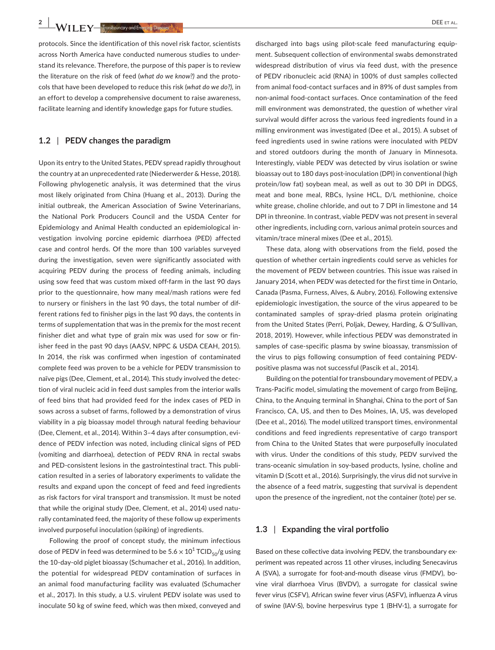**2 |**  DEE et al.

protocols. Since the identification of this novel risk factor, scientists across North America have conducted numerous studies to understand its relevance. Therefore, the purpose of this paper is to review the literature on the risk of feed (*what do we know?)* and the protocols that have been developed to reduce this risk (*what do we do?),* in an effort to develop a comprehensive document to raise awareness, facilitate learning and identify knowledge gaps for future studies.

# **1.2** | **PEDV changes the paradigm**

Upon its entry to the United States, PEDV spread rapidly throughout the country at an unprecedented rate (Niederwerder & Hesse, 2018). Following phylogenetic analysis, it was determined that the virus most likely originated from China (Huang et al., 2013). During the initial outbreak, the American Association of Swine Veterinarians, the National Pork Producers Council and the USDA Center for Epidemiology and Animal Health conducted an epidemiological investigation involving porcine epidemic diarrhoea (PED) affected case and control herds. Of the more than 100 variables surveyed during the investigation, seven were significantly associated with acquiring PEDV during the process of feeding animals, including using sow feed that was custom mixed off-farm in the last 90 days prior to the questionnaire, how many meal/mash rations were fed to nursery or finishers in the last 90 days, the total number of different rations fed to finisher pigs in the last 90 days, the contents in terms of supplementation that was in the premix for the most recent finisher diet and what type of grain mix was used for sow or finisher feed in the past 90 days (AASV, NPPC & USDA CEAH, 2015). In 2014, the risk was confirmed when ingestion of contaminated complete feed was proven to be a vehicle for PEDV transmission to naïve pigs (Dee, Clement, et al., 2014). This study involved the detection of viral nucleic acid in feed dust samples from the interior walls of feed bins that had provided feed for the index cases of PED in sows across a subset of farms, followed by a demonstration of virus viability in a pig bioassay model through natural feeding behaviour (Dee, Clement, et al., 2014). Within 3–4 days after consumption, evidence of PEDV infection was noted, including clinical signs of PED (vomiting and diarrhoea), detection of PEDV RNA in rectal swabs and PED-consistent lesions in the gastrointestinal tract. This publication resulted in a series of laboratory experiments to validate the results and expand upon the concept of feed and feed ingredients as risk factors for viral transport and transmission. It must be noted that while the original study (Dee, Clement, et al., 2014) used naturally contaminated feed, the majority of these follow up experiments involved purposeful inoculation (spiking) of ingredients.

Following the proof of concept study, the minimum infectious dose of PEDV in feed was determined to be 5.6  $\times$  10 $^1$  TCID<sub>50</sub>/g using the 10-day-old piglet bioassay (Schumacher et al., 2016). In addition, the potential for widespread PEDV contamination of surfaces in an animal food manufacturing facility was evaluated (Schumacher et al., 2017). In this study, a U.S. virulent PEDV isolate was used to inoculate 50 kg of swine feed, which was then mixed, conveyed and

discharged into bags using pilot-scale feed manufacturing equipment. Subsequent collection of environmental swabs demonstrated widespread distribution of virus via feed dust, with the presence of PEDV ribonucleic acid (RNA) in 100% of dust samples collected from animal food-contact surfaces and in 89% of dust samples from non-animal food-contact surfaces. Once contamination of the feed mill environment was demonstrated, the question of whether viral survival would differ across the various feed ingredients found in a milling environment was investigated (Dee et al., 2015). A subset of feed ingredients used in swine rations were inoculated with PEDV and stored outdoors during the month of January in Minnesota. Interestingly, viable PEDV was detected by virus isolation or swine bioassay out to 180 days post-inoculation (DPI) in conventional (high protein/low fat) soybean meal, as well as out to 30 DPI in DDGS, meat and bone meal, RBCs, lysine HCL, D/L methionine, choice white grease, choline chloride, and out to 7 DPI in limestone and 14 DPI in threonine. In contrast, viable PEDV was not present in several other ingredients, including corn, various animal protein sources and vitamin/trace mineral mixes (Dee et al., 2015).

These data, along with observations from the field, posed the question of whether certain ingredients could serve as vehicles for the movement of PEDV between countries. This issue was raised in January 2014, when PEDV was detected for the first time in Ontario, Canada (Pasma, Furness, Alves, & Aubry, 2016). Following extensive epidemiologic investigation, the source of the virus appeared to be contaminated samples of spray-dried plasma protein originating from the United States (Perri, Poljak, Dewey, Harding, & O'Sullivan, 2018, 2019). However, while infectious PEDV was demonstrated in samples of case-specific plasma by swine bioassay, transmission of the virus to pigs following consumption of feed containing PEDVpositive plasma was not successful (Pascik et al., 2014).

Building on the potential for transboundary movement of PEDV, a Trans-Pacific model, simulating the movement of cargo from Beijing, China, to the Anquing terminal in Shanghai, China to the port of San Francisco, CA, US, and then to Des Moines, IA, US, was developed (Dee et al., 2016). The model utilized transport times, environmental conditions and feed ingredients representative of cargo transport from China to the United States that were purposefully inoculated with virus. Under the conditions of this study, PEDV survived the trans-oceanic simulation in soy-based products, lysine, choline and vitamin D (Scott et al., 2016). Surprisingly, the virus did not survive in the absence of a feed matrix, suggesting that survival is dependent upon the presence of the ingredient, not the container (tote) per se.

#### **1.3** | **Expanding the viral portfolio**

Based on these collective data involving PEDV, the transboundary experiment was repeated across 11 other viruses, including Senecavirus A (SVA), a surrogate for foot-and-mouth disease virus (FMDV), bovine viral diarrhoea Virus (BVDV), a surrogate for classical swine fever virus (CSFV), African swine fever virus (ASFV), influenza A virus of swine (IAV-S), bovine herpesvirus type 1 (BHV-1), a surrogate for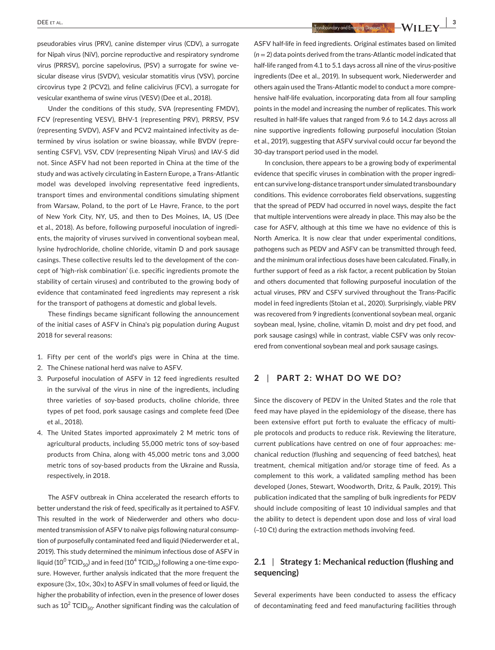**DEE** ET AL. **3**<br>**1.** Transboundary and Emerging Diseases and Diseases and **Interval Exception** Contact and Diseases and Diseases and Diseases and Diseases and Diseases and Diseases and Diseases and Diseases and Diseases

pseudorabies virus (PRV), canine distemper virus (CDV), a surrogate for Nipah virus (NiV), porcine reproductive and respiratory syndrome virus (PRRSV), porcine sapelovirus, (PSV) a surrogate for swine vesicular disease virus (SVDV), vesicular stomatitis virus (VSV), porcine circovirus type 2 (PCV2), and feline calicivirus (FCV), a surrogate for vesicular exanthema of swine virus (VESV) (Dee et al., 2018).

Under the conditions of this study, SVA (representing FMDV), FCV (representing VESV), BHV-1 (representing PRV), PRRSV, PSV (representing SVDV), ASFV and PCV2 maintained infectivity as determined by virus isolation or swine bioassay, while BVDV (representing CSFV), VSV, CDV (representing Nipah Virus) and IAV-S did not. Since ASFV had not been reported in China at the time of the study and was actively circulating in Eastern Europe, a Trans-Atlantic model was developed involving representative feed ingredients, transport times and environmental conditions simulating shipment from Warsaw, Poland, to the port of Le Havre, France, to the port of New York City, NY, US, and then to Des Moines, IA, US (Dee et al., 2018). As before, following purposeful inoculation of ingredients, the majority of viruses survived in conventional soybean meal, lysine hydrochloride, choline chloride, vitamin D and pork sausage casings. These collective results led to the development of the concept of 'high-risk combination' (i.e. specific ingredients promote the stability of certain viruses) and contributed to the growing body of evidence that contaminated feed ingredients may represent a risk for the transport of pathogens at domestic and global levels.

These findings became significant following the announcement of the initial cases of ASFV in China's pig population during August 2018 for several reasons:

- 1. Fifty per cent of the world's pigs were in China at the time.
- 2. The Chinese national herd was naïve to ASFV.
- 3. Purposeful inoculation of ASFV in 12 feed ingredients resulted in the survival of the virus in nine of the ingredients, including three varieties of soy-based products, choline chloride, three types of pet food, pork sausage casings and complete feed (Dee et al., 2018).
- 4. The United States imported approximately 2 M metric tons of agricultural products, including 55,000 metric tons of soy-based products from China, along with 45,000 metric tons and 3,000 metric tons of soy-based products from the Ukraine and Russia, respectively, in 2018.

The ASFV outbreak in China accelerated the research efforts to better understand the risk of feed, specifically as it pertained to ASFV. This resulted in the work of Niederwerder and others who documented transmission of ASFV to naïve pigs following natural consumption of purposefully contaminated feed and liquid (Niederwerder et al., 2019). This study determined the minimum infectious dose of ASFV in liquid (10<sup>0</sup> TCID<sub>50</sub>) and in feed (10<sup>4</sup> TCID<sub>50</sub>) following a one-time exposure. However, further analysis indicated that the more frequent the exposure (3×, 10×, 30×) to ASFV in small volumes of feed or liquid, the higher the probability of infection, even in the presence of lower doses such as 10 $^2$  TCID<sub>50</sub>. Another significant finding was the calculation of ASFV half-life in feed ingredients. Original estimates based on limited (*n* = 2) data points derived from the trans-Atlantic model indicated that half-life ranged from 4.1 to 5.1 days across all nine of the virus-positive ingredients (Dee et al., 2019). In subsequent work, Niederwerder and others again used the Trans-Atlantic model to conduct a more comprehensive half-life evaluation, incorporating data from all four sampling points in the model and increasing the number of replicates. This work resulted in half-life values that ranged from 9.6 to 14.2 days across all nine supportive ingredients following purposeful inoculation (Stoian et al., 2019), suggesting that ASFV survival could occur far beyond the 30-day transport period used in the model.

In conclusion, there appears to be a growing body of experimental evidence that specific viruses in combination with the proper ingredient can survive long-distance transport under simulated transboundary conditions. This evidence corroborates field observations, suggesting that the spread of PEDV had occurred in novel ways, despite the fact that multiple interventions were already in place. This may also be the case for ASFV, although at this time we have no evidence of this is North America. It is now clear that under experimental conditions, pathogens such as PEDV and ASFV can be transmitted through feed, and the minimum oral infectious doses have been calculated. Finally, in further support of feed as a risk factor, a recent publication by Stoian and others documented that following purposeful inoculation of the actual viruses, PRV and CSFV survived throughout the Trans-Pacific model in feed ingredients (Stoian et al., 2020). Surprisingly, viable PRV was recovered from 9 ingredients (conventional soybean meal, organic soybean meal, lysine, choline, vitamin D, moist and dry pet food, and pork sausage casings) while in contrast, viable CSFV was only recovered from conventional soybean meal and pork sausage casings.

#### **2** | **PART 2: WHAT DO WE DO?**

Since the discovery of PEDV in the United States and the role that feed may have played in the epidemiology of the disease, there has been extensive effort put forth to evaluate the efficacy of multiple protocols and products to reduce risk. Reviewing the literature, current publications have centred on one of four approaches: mechanical reduction (flushing and sequencing of feed batches), heat treatment, chemical mitigation and/or storage time of feed. As a complement to this work, a validated sampling method has been developed (Jones, Stewart, Woodworth, Dritz, & Paulk, 2019). This publication indicated that the sampling of bulk ingredients for PEDV should include compositing of least 10 individual samples and that the ability to detect is dependent upon dose and loss of viral load (~10 Ct) during the extraction methods involving feed.

# **2.1** | **Strategy 1: Mechanical reduction (flushing and sequencing)**

Several experiments have been conducted to assess the efficacy of decontaminating feed and feed manufacturing facilities through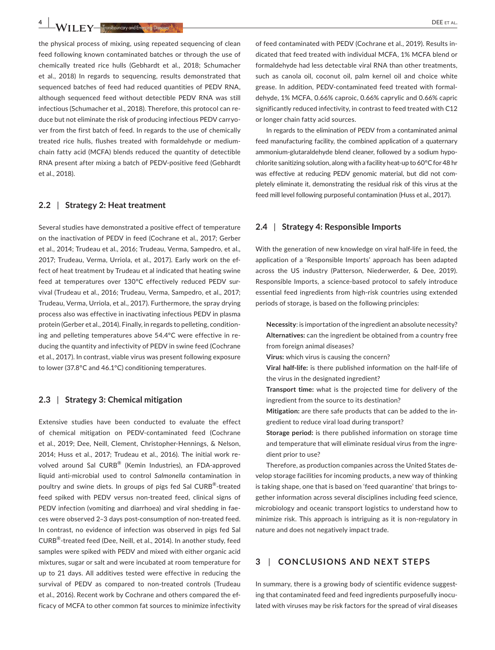**4 |**  DEE et al.

the physical process of mixing, using repeated sequencing of clean feed following known contaminated batches or through the use of chemically treated rice hulls (Gebhardt et al., 2018; Schumacher et al., 2018) In regards to sequencing, results demonstrated that sequenced batches of feed had reduced quantities of PEDV RNA, although sequenced feed without detectible PEDV RNA was still infectious (Schumacher et al., 2018). Therefore, this protocol can reduce but not eliminate the risk of producing infectious PEDV carryover from the first batch of feed. In regards to the use of chemically treated rice hulls, flushes treated with formaldehyde or mediumchain fatty acid (MCFA) blends reduced the quantity of detectible RNA present after mixing a batch of PEDV-positive feed (Gebhardt et al., 2018).

#### **2.2** | **Strategy 2: Heat treatment**

Several studies have demonstrated a positive effect of temperature on the inactivation of PEDV in feed (Cochrane et al., 2017; Gerber et al., 2014; Trudeau et al., 2016; Trudeau, Verma, Sampedro, et al., 2017; Trudeau, Verma, Urriola, et al., 2017). Early work on the effect of heat treatment by Trudeau et al indicated that heating swine feed at temperatures over 130°C effectively reduced PEDV survival (Trudeau et al., 2016; Trudeau, Verma, Sampedro, et al., 2017; Trudeau, Verma, Urriola, et al., 2017). Furthermore, the spray drying process also was effective in inactivating infectious PEDV in plasma protein (Gerber et al., 2014). Finally, in regards to pelleting, conditioning and pelleting temperatures above 54.4°C were effective in reducing the quantity and infectivity of PEDV in swine feed (Cochrane et al., 2017). In contrast, viable virus was present following exposure to lower (37.8°C and 46.1°C) conditioning temperatures.

#### **2.3** | **Strategy 3: Chemical mitigation**

Extensive studies have been conducted to evaluate the effect of chemical mitigation on PEDV-contaminated feed (Cochrane et al., 2019; Dee, Neill, Clement, Christopher-Hennings, & Nelson, 2014; Huss et al., 2017; Trudeau et al., 2016). The initial work revolved around Sal CURB® (Kemin Industries), an FDA-approved liquid anti-microbial used to control *Salmonella* contamination in poultry and swine diets. In groups of pigs fed Sal CURB®-treated feed spiked with PEDV versus non-treated feed, clinical signs of PEDV infection (vomiting and diarrhoea) and viral shedding in faeces were observed 2–3 days post-consumption of non-treated feed. In contrast, no evidence of infection was observed in pigs fed Sal CURB®-treated feed (Dee, Neill, et al., 2014). In another study, feed samples were spiked with PEDV and mixed with either organic acid mixtures, sugar or salt and were incubated at room temperature for up to 21 days. All additives tested were effective in reducing the survival of PEDV as compared to non-treated controls (Trudeau et al., 2016). Recent work by Cochrane and others compared the efficacy of MCFA to other common fat sources to minimize infectivity

of feed contaminated with PEDV (Cochrane et al., 2019). Results indicated that feed treated with individual MCFA, 1% MCFA blend or formaldehyde had less detectable viral RNA than other treatments, such as canola oil, coconut oil, palm kernel oil and choice white grease. In addition, PEDV-contaminated feed treated with formaldehyde, 1% MCFA, 0.66% caproic, 0.66% caprylic and 0.66% capric significantly reduced infectivity, in contrast to feed treated with C12 or longer chain fatty acid sources.

In regards to the elimination of PEDV from a contaminated animal feed manufacturing facility, the combined application of a quaternary ammonium-glutaraldehyde blend cleaner, followed by a sodium hypochlorite sanitizing solution, along with a facility heat-up to 60°C for 48 hr was effective at reducing PEDV genomic material, but did not completely eliminate it, demonstrating the residual risk of this virus at the feed mill level following purposeful contamination (Huss et al., 2017).

#### **2.4** | **Strategy 4: Responsible Imports**

With the generation of new knowledge on viral half-life in feed, the application of a 'Responsible Imports' approach has been adapted across the US industry (Patterson, Niederwerder, & Dee, 2019). Responsible Imports, a science-based protocol to safely introduce essential feed ingredients from high-risk countries using extended periods of storage, is based on the following principles:

- **Necessity**: is importation of the ingredient an absolute necessity? **Alternatives:** can the ingredient be obtained from a country free from foreign animal diseases?
- **Virus:** which virus is causing the concern?
- **Viral half-life:** is there published information on the half-life of the virus in the designated ingredient?
- **Transport time:** what is the projected time for delivery of the ingredient from the source to its destination?
- **Mitigation:** are there safe products that can be added to the ingredient to reduce viral load during transport?
- **Storage period:** is there published information on storage time and temperature that will eliminate residual virus from the ingredient prior to use?

Therefore, as production companies across the United States develop storage facilities for incoming products, a new way of thinking is taking shape, one that is based on 'feed quarantine' that brings together information across several disciplines including feed science, microbiology and oceanic transport logistics to understand how to minimize risk. This approach is intriguing as it is non-regulatory in nature and does not negatively impact trade.

## **3** | **CONCLUSIONS AND NEXT STEPS**

In summary, there is a growing body of scientific evidence suggesting that contaminated feed and feed ingredients purposefully inoculated with viruses may be risk factors for the spread of viral diseases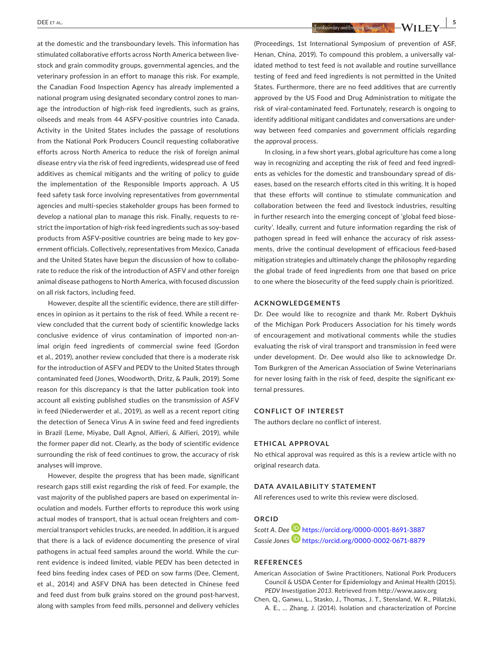at the domestic and the transboundary levels. This information has stimulated collaborative efforts across North America between livestock and grain commodity groups, governmental agencies, and the veterinary profession in an effort to manage this risk. For example, the Canadian Food Inspection Agency has already implemented a national program using designated secondary control zones to manage the introduction of high-risk feed ingredients, such as grains, oilseeds and meals from 44 ASFV-positive countries into Canada. Activity in the United States includes the passage of resolutions from the National Pork Producers Council requesting collaborative efforts across North America to reduce the risk of foreign animal disease entry via the risk of feed ingredients, widespread use of feed additives as chemical mitigants and the writing of policy to guide the implementation of the Responsible Imports approach. A US feed safety task force involving representatives from governmental agencies and multi-species stakeholder groups has been formed to develop a national plan to manage this risk. Finally, requests to restrict the importation of high-risk feed ingredients such as soy-based products from ASFV-positive countries are being made to key government officials. Collectively, representatives from Mexico, Canada and the United States have begun the discussion of how to collaborate to reduce the risk of the introduction of ASFV and other foreign animal disease pathogens to North America, with focused discussion on all risk factors, including feed.

However, despite all the scientific evidence, there are still differences in opinion as it pertains to the risk of feed. While a recent review concluded that the current body of scientific knowledge lacks conclusive evidence of virus contamination of imported non-animal origin feed ingredients of commercial swine feed (Gordon et al., 2019), another review concluded that there is a moderate risk for the introduction of ASFV and PEDV to the United States through contaminated feed (Jones, Woodworth, Dritz, & Paulk, 2019). Some reason for this discrepancy is that the latter publication took into account all existing published studies on the transmission of ASFV in feed (Niederwerder et al., 2019), as well as a recent report citing the detection of Seneca Virus A in swine feed and feed ingredients in Brazil (Leme, Miyabe, Dall Agnol, Alfieri, & Alfieri, 2019), while the former paper did not. Clearly, as the body of scientific evidence surrounding the risk of feed continues to grow, the accuracy of risk analyses will improve.

However, despite the progress that has been made, significant research gaps still exist regarding the risk of feed. For example, the vast majority of the published papers are based on experimental inoculation and models. Further efforts to reproduce this work using actual modes of transport, that is actual ocean freighters and commercial transport vehicles trucks, are needed. In addition, it is argued that there is a lack of evidence documenting the presence of viral pathogens in actual feed samples around the world. While the current evidence is indeed limited, viable PEDV has been detected in feed bins feeding index cases of PED on sow farms (Dee, Clement, et al., 2014) and ASFV DNA has been detected in Chinese feed and feed dust from bulk grains stored on the ground post-harvest, along with samples from feed mills, personnel and delivery vehicles

 **DEE** ET AL. **In the case of all the contract of all the contract of all the contract of all the contract of all the contract of all the contract of all the contract of all the contract of all the contract of all the cont** 

(Proceedings, 1st International Symposium of prevention of ASF, Henan, China, 2019). To compound this problem, a universally validated method to test feed is not available and routine surveillance testing of feed and feed ingredients is not permitted in the United States. Furthermore, there are no feed additives that are currently approved by the US Food and Drug Administration to mitigate the risk of viral-contaminated feed. Fortunately, research is ongoing to identify additional mitigant candidates and conversations are underway between feed companies and government officials regarding the approval process.

In closing, in a few short years, global agriculture has come a long way in recognizing and accepting the risk of feed and feed ingredients as vehicles for the domestic and transboundary spread of diseases, based on the research efforts cited in this writing. It is hoped that these efforts will continue to stimulate communication and collaboration between the feed and livestock industries, resulting in further research into the emerging concept of 'global feed biosecurity'. Ideally, current and future information regarding the risk of pathogen spread in feed will enhance the accuracy of risk assessments, drive the continual development of efficacious feed-based mitigation strategies and ultimately change the philosophy regarding the global trade of feed ingredients from one that based on price to one where the biosecurity of the feed supply chain is prioritized.

#### **ACKNOWLEDGEMENTS**

Dr. Dee would like to recognize and thank Mr. Robert Dykhuis of the Michigan Pork Producers Association for his timely words of encouragement and motivational comments while the studies evaluating the risk of viral transport and transmission in feed were under development. Dr. Dee would also like to acknowledge Dr. Tom Burkgren of the American Association of Swine Veterinarians for never losing faith in the risk of feed, despite the significant external pressures.

#### **CONFLICT OF INTEREST**

The authors declare no conflict of interest.

#### **ETHICAL APPROVAL**

No ethical approval was required as this is a review article with no original research data.

#### **DATA AVAILABILITY STATEMENT**

All references used to write this review were disclosed.

### **ORCID**

*Scott A. Dee* <https://orcid.org/0000-0001-8691-3887> *Cassie Jone[s](https://orcid.org/0000-0002-0671-8879)* <https://orcid.org/0000-0002-0671-8879>

#### **REFERENCES**

- American Association of Swine Practitioners, National Pork Producers Council & USDA Center for Epidemiology and Animal Health (2015). *PEDV Investigation 2013*. Retrieved from<http://www.aasv.org>
- Chen, Q., Ganwu, L., Stasko, J., Thomas, J. T., Stensland, W. R., Pillatzki, A. E., … Zhang, J. (2014). Isolation and characterization of Porcine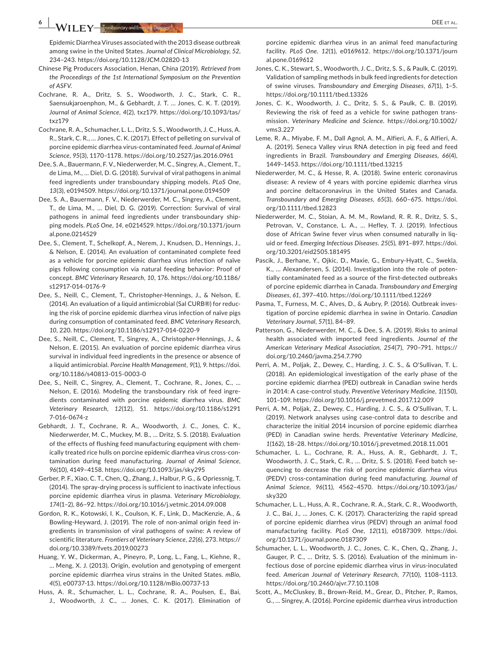Epidemic Diarrhea Viruses associated with the 2013 disease outbreak among swine in the United States. *Journal of Clinical Microbiology*, *52*, 234–243. <https://doi.org/10.1128/JCM.02820-13>

- Chinese Pig Producers Association, Henan, China (2019). *Retrieved from the Proceedings of the 1st International Symposium on the Prevention of ASFV*.
- Cochrane, R. A., Dritz, S. S., Woodworth, J. C., Stark, C. R., Saensukjaroenphon, M., & Gebhardt, J. T. … Jones, C. K. T. (2019). *Journal of Animal Science*, *4*(2), txz179. [https://doi.org/10.1093/tas/](https://doi.org/10.1093/tas/txz179) [txz179](https://doi.org/10.1093/tas/txz179)
- Cochrane, R. A., Schumacher, L. L., Dritz, S. S., Woodworth, J. C., Huss, A. R., Stark, C. R., … Jones, C. K. (2017). Effect of pelleting on survival of porcine epidemic diarrhea virus-contaminated feed. *Journal of Animal Science*, *95*(3), 1170–1178. <https://doi.org/10.2527/jas.2016.0961>
- Dee, S. A., Bauermann, F. V., Niederwerder, M. C., Singrey, A., Clement, T., de Lima, M., … Diel, D. G. (2018). Survival of viral pathogens in animal feed ingredients under transboundary shipping models. *PLoS One*, *13*(3), e0194509.<https://doi.org/10.1371/journal.pone.0194509>
- Dee, S. A., Bauermann, F. V., Niederwerder, M. C., Singrey, A., Clement, T., de Lima, M., … Diel, D. G. (2019). Correction: Survival of viral pathogens in animal feed ingredients under transboundary shipping models. *PLoS One*, *14*, e0214529. [https://doi.org/10.1371/journ](https://doi.org/10.1371/journal.pone.0214529) [al.pone.0214529](https://doi.org/10.1371/journal.pone.0214529)
- Dee, S., Clement, T., Schelkopf, A., Nerem, J., Knudsen, D., Hennings, J., & Nelson, E. (2014). An evaluation of contaminated complete feed as a vehicle for porcine epidemic diarrhea virus infection of naïve pigs following consumption via natural feeding behavior: Proof of concept. *BMC Veterinary Research*, *10*, 176. [https://doi.org/10.1186/](https://doi.org/10.1186/s12917-014-0176-9) [s12917-014-0176-9](https://doi.org/10.1186/s12917-014-0176-9)
- Dee, S., Neill, C., Clement, T., Christopher-Hennings, J., & Nelson, E. (2014). An evaluation of a liquid antimicrobial (Sal CURB®) for reducing the risk of porcine epidemic diarrhea virus infection of naïve pigs during consumption of contaminated feed. *BMC Veterinary Research*, *10*, 220. <https://doi.org/10.1186/s12917-014-0220-9>
- Dee, S., Neill, C., Clement, T., Singrey, A., Christopher-Hennings, J., & Nelson, E. (2015). An evaluation of porcine epidemic diarrhea virus survival in individual feed ingredients in the presence or absence of a liquid antimicrobial. *Porcine Health Management*, *9*(1), 9. [https://doi.](https://doi.org/10.1186/s40813-015-0003-0) [org/10.1186/s40813-015-0003-0](https://doi.org/10.1186/s40813-015-0003-0)
- Dee, S., Neill, C., Singrey, A., Clement, T., Cochrane, R., Jones, C., … Nelson, E. (2016). Modeling the transboundary risk of feed ingredients contaminated with porcine epidemic diarrhea virus. *BMC Veterinary Research*, *12*(12), 51. [https://doi.org/10.1186/s1291](https://doi.org/10.1186/s12917-016-0674-z) [7-016-0674-z](https://doi.org/10.1186/s12917-016-0674-z)
- Gebhardt, J. T., Cochrane, R. A., Woodworth, J. C., Jones, C. K., Niederwerder, M. C., Muckey, M. B., … Dritz, S. S. (2018). Evaluation of the effects of flushing feed manufacturing equipment with chemically treated rice hulls on porcine epidemic diarrhea virus cross-contamination during feed manufacturing. *Journal of Animal Science*, *96*(10), 4149–4158.<https://doi.org/10.1093/jas/sky295>
- Gerber, P. F., Xiao, C. T., Chen, Q., Zhang, J., Halbur, P. G., & Opriessnig, T. (2014). The spray-drying process is sufficient to inactivate infectious porcine epidemic diarrhea virus in plasma. *Veterinary Microbiology*, *174*(1–2), 86–92.<https://doi.org/10.1016/j.vetmic.2014.09.008>
- Gordon, R. K., Kotowski, I. K., Coulson, K. F., Link, D., MacKenzie, A., & Bowling-Heyward, J. (2019). The role of non-animal origin feed ingredients in transmission of viral pathogens of swine: A review of scientific literature. *Frontiers of Veterinary Science*, *22*(6), 273. [https://](https://doi.org/10.3389/fvets.2019.00273) [doi.org/10.3389/fvets.2019.00273](https://doi.org/10.3389/fvets.2019.00273)
- Huang, Y. W., Dickerman, A., Pineyro, P., Long, L., Fang, L., Kiehne, R., … Meng, X. J. (2013). Origin, evolution and genotyping of emergent porcine epidemic diarrhea virus strains in the United States. *mBio*, *4*(5), e00737-13. <https://doi.org/10.1128/mBio.00737-13>
- Huss, A. R., Schumacher, L. L., Cochrane, R. A., Poulsen, E., Bai, J., Woodworth, J. C., … Jones, C. K. (2017). Elimination of

porcine epidemic diarrhea virus in an animal feed manufacturing facility. *PLoS One*. *12*(1), e0169612. [https://doi.org/10.1371/journ](https://doi.org/10.1371/journal.pone.0169612) [al.pone.0169612](https://doi.org/10.1371/journal.pone.0169612)

- Jones, C. K., Stewart, S., Woodworth, J. C., Dritz, S. S., & Paulk, C. (2019). Validation of sampling methods in bulk feed ingredients for detection of swine viruses. *Transboundary and Emerging Diseases*, *67*(1), 1–5. <https://doi.org/10.1111/tbed.13326>
- Jones, C. K., Woodworth, J. C., Dritz, S. S., & Paulk, C. B. (2019). Reviewing the risk of feed as a vehicle for swine pathogen transmission. *Veterinary Medicine and Science*. [https://doi.org/10.1002/](https://doi.org/10.1002/vms3.227) [vms3.227](https://doi.org/10.1002/vms3.227)
- Leme, R. A., Miyabe, F. M., Dall Agnol, A. M., Alfieri, A. F., & Alfieri, A. A. (2019). Seneca Valley virus RNA detection in pig feed and feed ingredients in Brazil. *Transboundary and Emerging Diseases*, *66*(4), 1449–1453. <https://doi.org/10.1111/tbed.13215>
- Niederwerder, M. C., & Hesse, R. A. (2018). Swine enteric coronavirus disease: A review of 4 years with porcine epidemic diarrhea virus and porcine deltacoronavirus in the United States and Canada. *Transboundary and Emerging Diseases*, *65*(3), 660–675. [https://doi.](https://doi.org/10.1111/tbed.12823) [org/10.1111/tbed.12823](https://doi.org/10.1111/tbed.12823)
- Niederwerder, M. C., Stoian, A. M. M., Rowland, R. R. R., Dritz, S. S., Petrovan, V., Constance, L. A., … Hefley, T. J. (2019). Infectious dose of African Swine fever virus when consumed naturally in liquid or feed. *Emerging Infectious Diseases*. *25*(5), 891–897. [https://doi.](https://doi.org/10.3201/eid2505.181495) [org/10.3201/eid2505.181495](https://doi.org/10.3201/eid2505.181495)
- Pascik, J., Berhane, Y., Ojkic, D., Maxie, G., Embury-Hyatt, C., Swekla, K., … Alexandersen, S. (2014). Investigation into the role of potentially contaminated feed as a source of the first-detected outbreaks of porcine epidemic diarrhea in Canada. *Transboundary and Emerging Diseases*, *61*, 397–410.<https://doi.org/10.1111/tbed.12269>
- Pasma, T., Furness, M. C., Alves, D., & Aubry, P. (2016). Outbreak investigation of porcine epidemic diarrhea in swine in Ontario. *Canadian Veterinary Journal*, *57*(1), 84–89.
- Patterson, G., Niederwerder, M. C., & Dee, S. A. (2019). Risks to animal health associated with imported feed ingredients. *Journal of the American Veterinary Medical Association*, *254*(7), 790–791. [https://](https://doi.org/10.2460/javma.254.7.790) [doi.org/10.2460/javma.254.7.790](https://doi.org/10.2460/javma.254.7.790)
- Perri, A. M., Poljak, Z., Dewey, C., Harding, J. C. S., & O'Sullivan, T. L. (2018). An epidemiological investigation of the early phase of the porcine epidemic diarrhea (PED) outbreak in Canadian swine herds in 2014: A case-control study. *Preventive Veterinary Medicine*, *1*(150), 101–109. <https://doi.org/10.1016/j.prevetmed.2017.12.009>
- Perri, A. M., Poljak, Z., Dewey, C., Harding, J. C. S., & O'Sullivan, T. L. (2019). Network analyses using case-control data to describe and characterize the initial 2014 incursion of porcine epidemic diarrhea (PED) in Canadian swine herds. *Preventative Veterinary Medicine*, *1*(162), 18–28.<https://doi.org/10.1016/j.prevetmed.2018.11.001>
- Schumacher, L. L., Cochrane, R. A., Huss, A. R., Gebhardt, J. T., Woodworth, J. C., Stark, C. R., … Dritz, S. S. (2018). Feed batch sequencing to decrease the risk of porcine epidemic diarrhea virus (PEDV) cross-contamination during feed manufacturing. *Journal of Animal Science*, *96*(11), 4562–4570. [https://doi.org/10.1093/jas/](https://doi.org/10.1093/jas/sky320) [sky320](https://doi.org/10.1093/jas/sky320)
- Schumacher, L. L., Huss, A. R., Cochrane, R. A., Stark, C. R., Woodworth, J. C., Bai, J., … Jones, C. K. (2017). Characterizing the rapid spread of porcine epidemic diarrhea virus (PEDV) through an animal food manufacturing facility. *PLoS One*, *12*(11), e0187309. [https://doi.](https://doi.org/10.1371/journal.pone.0187309) [org/10.1371/journal.pone.0187309](https://doi.org/10.1371/journal.pone.0187309)
- Schumacher, L. L., Woodworth, J. C., Jones, C. K., Chen, Q., Zhang, J., Gauger, P. C., … Dritz, S. S. (2016). Evaluation of the minimum infectious dose of porcine epidemic diarrhea virus in virus-inoculated feed. *American Journal of Veterinary Research*, *77*(10), 1108–1113. <https://doi.org/10.2460/ajvr.77.10.1108>
- Scott, A., McCluskey, B., Brown-Reid, M., Grear, D., Pitcher, P., Ramos, G., … Singrey, A. (2016). Porcine epidemic diarrhea virus introduction